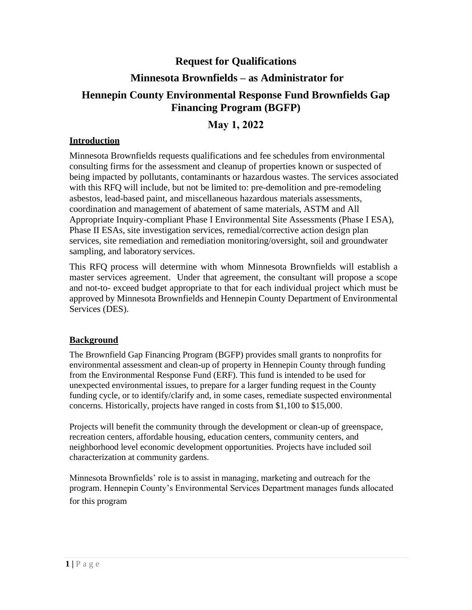# **Request for Qualifications Minnesota Brownfields – as Administrator for Hennepin County Environmental Response Fund Brownfields Gap Financing Program (BGFP)**

# **May 1, 2022**

## **Introduction**

Minnesota Brownfields requests qualifications and fee schedules from environmental consulting firms for the assessment and cleanup of properties known or suspected of being impacted by pollutants, contaminants or hazardous wastes. The services associated with this RFQ will include, but not be limited to: pre-demolition and pre-remodeling asbestos, lead-based paint, and miscellaneous hazardous materials assessments, coordination and management of abatement of same materials, ASTM and All Appropriate Inquiry-compliant Phase I Environmental Site Assessments (Phase I ESA), Phase II ESAs, site investigation services, remedial/corrective action design plan services, site remediation and remediation monitoring/oversight, soil and groundwater sampling, and laboratory services.

This RFQ process will determine with whom Minnesota Brownfields will establish a master services agreement. Under that agreement, the consultant will propose a scope and not-to- exceed budget appropriate to that for each individual project which must be approved by Minnesota Brownfields and Hennepin County Department of Environmental Services (DES).

#### **Background**

The Brownfield Gap Financing Program (BGFP) provides small grants to nonprofits for environmental assessment and clean-up of property in Hennepin County through funding from the Environmental Response Fund (ERF). This fund is intended to be used for unexpected environmental issues, to prepare for a larger funding request in the County funding cycle, or to identify/clarify and, in some cases, remediate suspected environmental concerns. Historically, projects have ranged in costs from \$1,100 to \$15,000.

Projects will benefit the community through the development or clean-up of greenspace, recreation centers, affordable housing, education centers, community centers, and neighborhood level economic development opportunities. Projects have included soil characterization at community gardens.

Minnesota Brownfields' role is to assist in managing, marketing and outreach for the program. Hennepin County's Environmental Services Department manages funds allocated for this program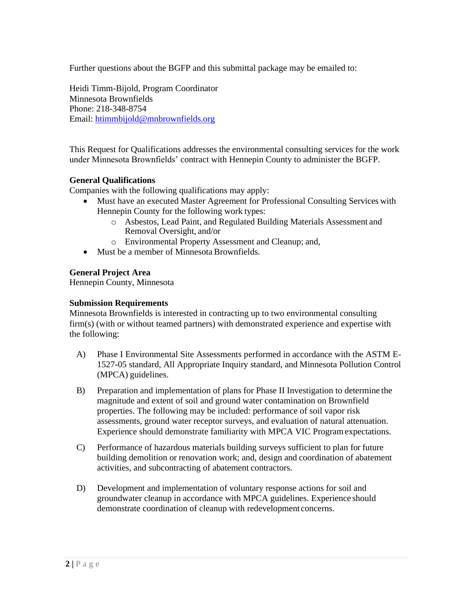Further questions about the BGFP and this submittal package may be emailed to:

Heidi Timm-Bijold, Program Coordinator Minnesota Brownfields Phone: 218-348-8754 Email: [htimmbijold@mnbrownfields.org](mailto:htimmbijold@mnbrownfields.org)

This Request for Qualifications addresses the environmental consulting services for the work under Minnesota Brownfields' contract with Hennepin County to administer the BGFP.

#### **General Qualifications**

Companies with the following qualifications may apply:

- Must have an executed Master Agreement for Professional Consulting Services with Hennepin County for the following work types:
	- o Asbestos, Lead Paint, and Regulated Building Materials Assessment and Removal Oversight, and/or
	- o Environmental Property Assessment and Cleanup; and,
- Must be a member of Minnesota Brownfields.

#### **General Project Area**

Hennepin County, Minnesota

#### **Submission Requirements**

Minnesota Brownfields is interested in contracting up to two environmental consulting firm(s) (with or without teamed partners) with demonstrated experience and expertise with the following:

- A) Phase I Environmental Site Assessments performed in accordance with the ASTM E-1527-05 standard, All Appropriate Inquiry standard, and Minnesota Pollution Control (MPCA) guidelines.
- B) Preparation and implementation of plans for Phase II Investigation to determine the magnitude and extent of soil and ground water contamination on Brownfield properties. The following may be included: performance of soil vapor risk assessments, ground water receptor surveys, and evaluation of natural attenuation. Experience should demonstrate familiarity with MPCA VIC Programexpectations.
- C) Performance of hazardous materials building surveys sufficient to plan for future building demolition or renovation work; and, design and coordination of abatement activities, and subcontracting of abatement contractors.
- D) Development and implementation of voluntary response actions for soil and groundwater cleanup in accordance with MPCA guidelines. Experience should demonstrate coordination of cleanup with redevelopment concerns.